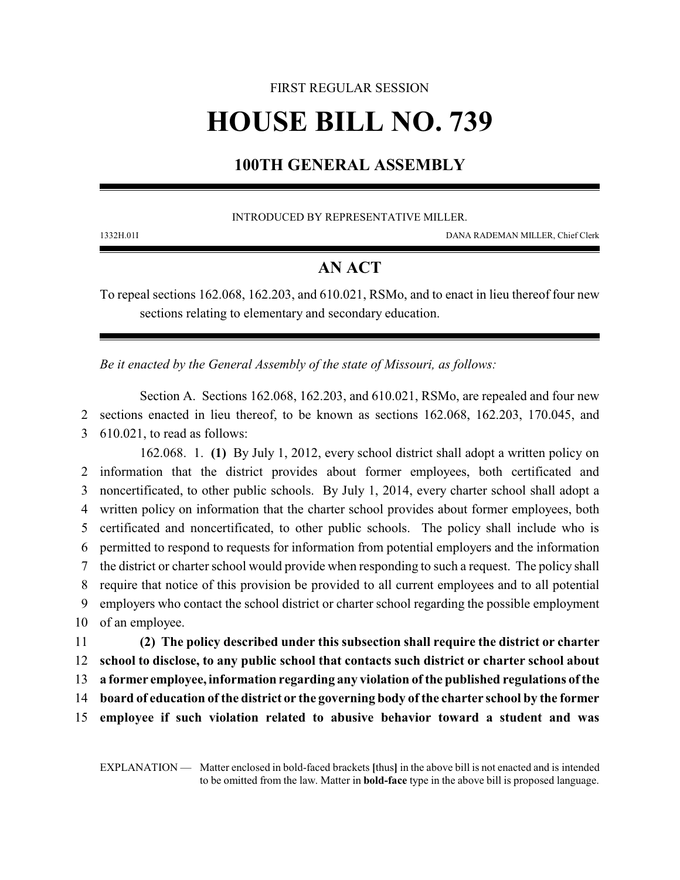# FIRST REGULAR SESSION **HOUSE BILL NO. 739**

## **100TH GENERAL ASSEMBLY**

#### INTRODUCED BY REPRESENTATIVE MILLER.

1332H.01I DANA RADEMAN MILLER, Chief Clerk

## **AN ACT**

To repeal sections 162.068, 162.203, and 610.021, RSMo, and to enact in lieu thereof four new sections relating to elementary and secondary education.

*Be it enacted by the General Assembly of the state of Missouri, as follows:*

Section A. Sections 162.068, 162.203, and 610.021, RSMo, are repealed and four new 2 sections enacted in lieu thereof, to be known as sections 162.068, 162.203, 170.045, and 3 610.021, to read as follows:

162.068. 1. **(1)** By July 1, 2012, every school district shall adopt a written policy on information that the district provides about former employees, both certificated and noncertificated, to other public schools. By July 1, 2014, every charter school shall adopt a written policy on information that the charter school provides about former employees, both certificated and noncertificated, to other public schools. The policy shall include who is permitted to respond to requests for information from potential employers and the information the district or charter school would provide when responding to such a request. The policy shall require that notice of this provision be provided to all current employees and to all potential employers who contact the school district or charter school regarding the possible employment of an employee.

 **(2) The policy described under this subsection shall require the district or charter school to disclose, to any public school that contacts such district or charter school about a former employee, information regarding any violation of the published regulations ofthe board of education of the district or the governing body of the charter school by the former employee if such violation related to abusive behavior toward a student and was**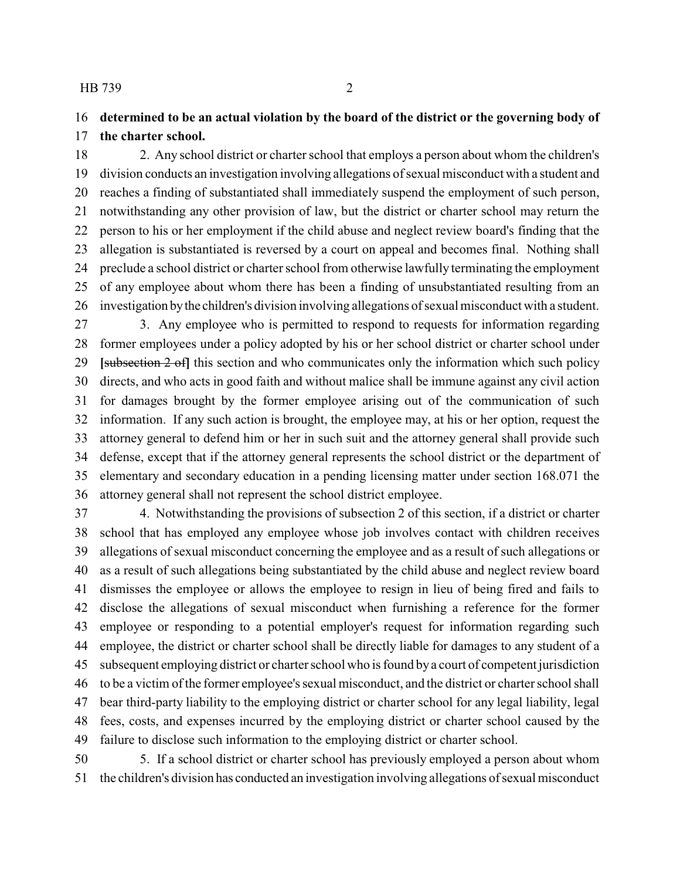## **determined to be an actual violation by the board of the district or the governing body of the charter school.**

 2. Any school district or charter school that employs a person about whom the children's division conducts an investigation involving allegations of sexual misconduct with a student and reaches a finding of substantiated shall immediately suspend the employment of such person, notwithstanding any other provision of law, but the district or charter school may return the person to his or her employment if the child abuse and neglect review board's finding that the allegation is substantiated is reversed by a court on appeal and becomes final. Nothing shall preclude a school district or charter school from otherwise lawfully terminating the employment of any employee about whom there has been a finding of unsubstantiated resulting from an investigation bythe children's division involving allegations of sexual misconduct with a student.

 3. Any employee who is permitted to respond to requests for information regarding former employees under a policy adopted by his or her school district or charter school under **[**subsection 2 of**]** this section and who communicates only the information which such policy directs, and who acts in good faith and without malice shall be immune against any civil action for damages brought by the former employee arising out of the communication of such information. If any such action is brought, the employee may, at his or her option, request the attorney general to defend him or her in such suit and the attorney general shall provide such defense, except that if the attorney general represents the school district or the department of elementary and secondary education in a pending licensing matter under section 168.071 the attorney general shall not represent the school district employee.

 4. Notwithstanding the provisions of subsection 2 of this section, if a district or charter school that has employed any employee whose job involves contact with children receives allegations of sexual misconduct concerning the employee and as a result of such allegations or as a result of such allegations being substantiated by the child abuse and neglect review board dismisses the employee or allows the employee to resign in lieu of being fired and fails to disclose the allegations of sexual misconduct when furnishing a reference for the former employee or responding to a potential employer's request for information regarding such employee, the district or charter school shall be directly liable for damages to any student of a subsequent employing district or charter school who is found bya court of competent jurisdiction to be a victim of the former employee's sexual misconduct, and the district or charter school shall bear third-party liability to the employing district or charter school for any legal liability, legal fees, costs, and expenses incurred by the employing district or charter school caused by the failure to disclose such information to the employing district or charter school.

 5. If a school district or charter school has previously employed a person about whom the children's division has conducted an investigation involving allegations of sexual misconduct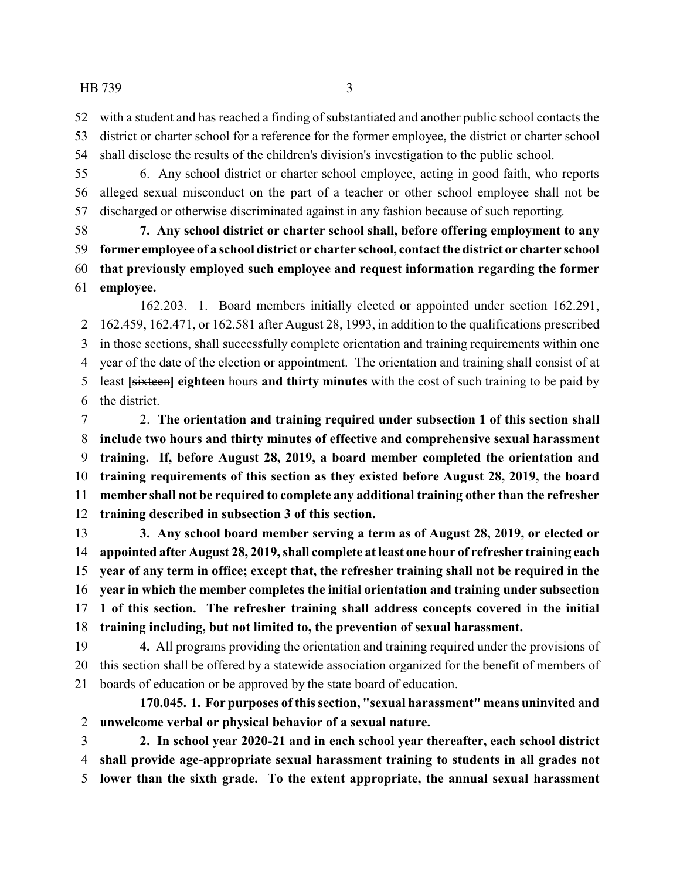with a student and has reached a finding of substantiated and another public school contacts the district or charter school for a reference for the former employee, the district or charter school shall disclose the results of the children's division's investigation to the public school.

 6. Any school district or charter school employee, acting in good faith, who reports alleged sexual misconduct on the part of a teacher or other school employee shall not be discharged or otherwise discriminated against in any fashion because of such reporting.

 **7. Any school district or charter school shall, before offering employment to any former employee of a school district or charter school, contact the district or charter school that previously employed such employee and request information regarding the former employee.**

162.203. 1. Board members initially elected or appointed under section 162.291, 162.459, 162.471, or 162.581 after August 28, 1993, in addition to the qualifications prescribed in those sections, shall successfully complete orientation and training requirements within one year of the date of the election or appointment. The orientation and training shall consist of at least **[**sixteen**] eighteen** hours **and thirty minutes** with the cost of such training to be paid by the district.

 2. **The orientation and training required under subsection 1 of this section shall include two hours and thirty minutes of effective and comprehensive sexual harassment training. If, before August 28, 2019, a board member completed the orientation and training requirements of this section as they existed before August 28, 2019, the board member shall not be required to complete any additional training other than the refresher training described in subsection 3 of this section.**

 **3. Any school board member serving a term as of August 28, 2019, or elected or appointed after August 28, 2019, shall complete at least one hour of refresher training each year of any term in office; except that, the refresher training shall not be required in the year in which the member completes the initial orientation and training under subsection 1 of this section. The refresher training shall address concepts covered in the initial training including, but not limited to, the prevention of sexual harassment.**

 **4.** All programs providing the orientation and training required under the provisions of this section shall be offered by a statewide association organized for the benefit of members of boards of education or be approved by the state board of education.

**170.045. 1. For purposes of this section, "sexual harassment" means uninvited and unwelcome verbal or physical behavior of a sexual nature.**

 **2. In school year 2020-21 and in each school year thereafter, each school district shall provide age-appropriate sexual harassment training to students in all grades not lower than the sixth grade. To the extent appropriate, the annual sexual harassment**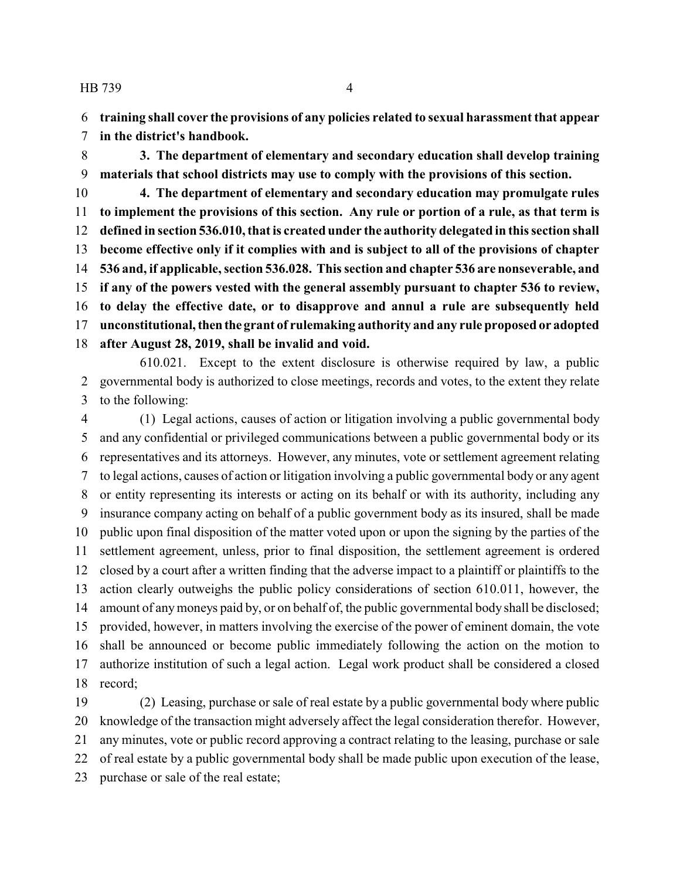**training shall cover the provisions of any policies related to sexual harassment that appear**

**in the district's handbook.**

 **3. The department of elementary and secondary education shall develop training materials that school districts may use to comply with the provisions of this section.**

 **4. The department of elementary and secondary education may promulgate rules to implement the provisions of this section. Any rule or portion of a rule, as that term is defined in section 536.010, that is created under the authority delegated in this section shall become effective only if it complies with and is subject to all of the provisions of chapter 536 and, if applicable, section 536.028. This section and chapter 536 are nonseverable, and if any of the powers vested with the general assembly pursuant to chapter 536 to review, to delay the effective date, or to disapprove and annul a rule are subsequently held unconstitutional,thenthe grant of rulemaking authority and any rule proposed or adopted after August 28, 2019, shall be invalid and void.**

610.021. Except to the extent disclosure is otherwise required by law, a public governmental body is authorized to close meetings, records and votes, to the extent they relate to the following:

 (1) Legal actions, causes of action or litigation involving a public governmental body and any confidential or privileged communications between a public governmental body or its representatives and its attorneys. However, any minutes, vote or settlement agreement relating to legal actions, causes of action or litigation involving a public governmental body or any agent or entity representing its interests or acting on its behalf or with its authority, including any insurance company acting on behalf of a public government body as its insured, shall be made public upon final disposition of the matter voted upon or upon the signing by the parties of the settlement agreement, unless, prior to final disposition, the settlement agreement is ordered closed by a court after a written finding that the adverse impact to a plaintiff or plaintiffs to the action clearly outweighs the public policy considerations of section 610.011, however, the amount of anymoneys paid by, or on behalf of, the public governmental body shall be disclosed; provided, however, in matters involving the exercise of the power of eminent domain, the vote shall be announced or become public immediately following the action on the motion to authorize institution of such a legal action. Legal work product shall be considered a closed record;

 (2) Leasing, purchase or sale of real estate by a public governmental body where public knowledge of the transaction might adversely affect the legal consideration therefor. However, any minutes, vote or public record approving a contract relating to the leasing, purchase or sale of real estate by a public governmental body shall be made public upon execution of the lease, purchase or sale of the real estate;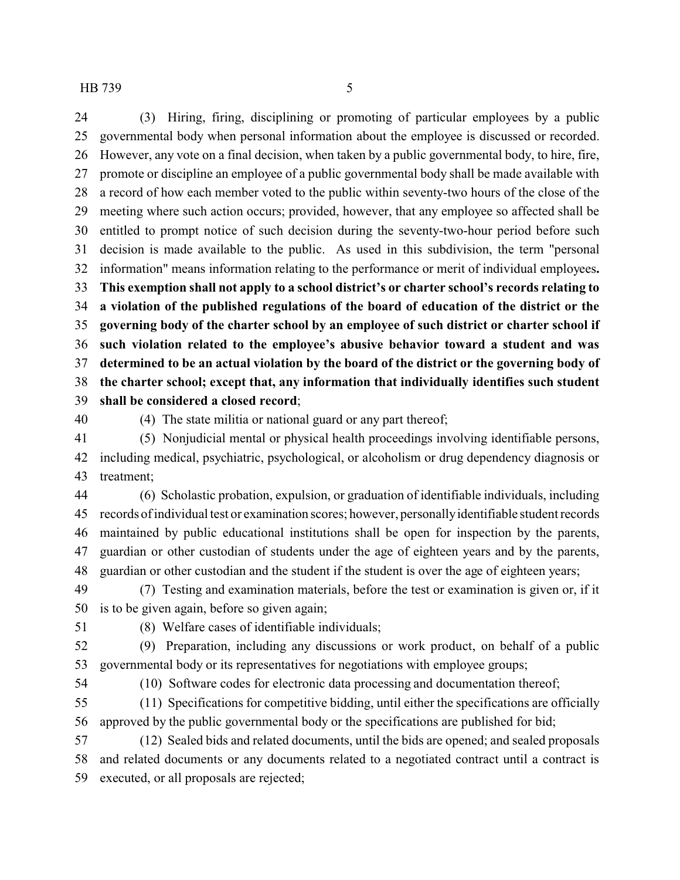(3) Hiring, firing, disciplining or promoting of particular employees by a public governmental body when personal information about the employee is discussed or recorded. However, any vote on a final decision, when taken by a public governmental body, to hire, fire, promote or discipline an employee of a public governmental body shall be made available with a record of how each member voted to the public within seventy-two hours of the close of the meeting where such action occurs; provided, however, that any employee so affected shall be entitled to prompt notice of such decision during the seventy-two-hour period before such decision is made available to the public. As used in this subdivision, the term "personal information" means information relating to the performance or merit of individual employees**. This exemption shall not apply to a school district's or charter school's records relating to a violation of the published regulations of the board of education of the district or the governing body of the charter school by an employee of such district or charter school if such violation related to the employee's abusive behavior toward a student and was determined to be an actual violation by the board of the district or the governing body of the charter school; except that, any information that individually identifies such student shall be considered a closed record**;

(4) The state militia or national guard or any part thereof;

 (5) Nonjudicial mental or physical health proceedings involving identifiable persons, including medical, psychiatric, psychological, or alcoholism or drug dependency diagnosis or treatment;

 (6) Scholastic probation, expulsion, or graduation of identifiable individuals, including records of individual test or examination scores; however, personallyidentifiable student records maintained by public educational institutions shall be open for inspection by the parents, guardian or other custodian of students under the age of eighteen years and by the parents, guardian or other custodian and the student if the student is over the age of eighteen years;

 (7) Testing and examination materials, before the test or examination is given or, if it is to be given again, before so given again;

(8) Welfare cases of identifiable individuals;

 (9) Preparation, including any discussions or work product, on behalf of a public governmental body or its representatives for negotiations with employee groups;

(10) Software codes for electronic data processing and documentation thereof;

 (11) Specifications for competitive bidding, until either the specifications are officially approved by the public governmental body or the specifications are published for bid;

 (12) Sealed bids and related documents, until the bids are opened; and sealed proposals and related documents or any documents related to a negotiated contract until a contract is executed, or all proposals are rejected;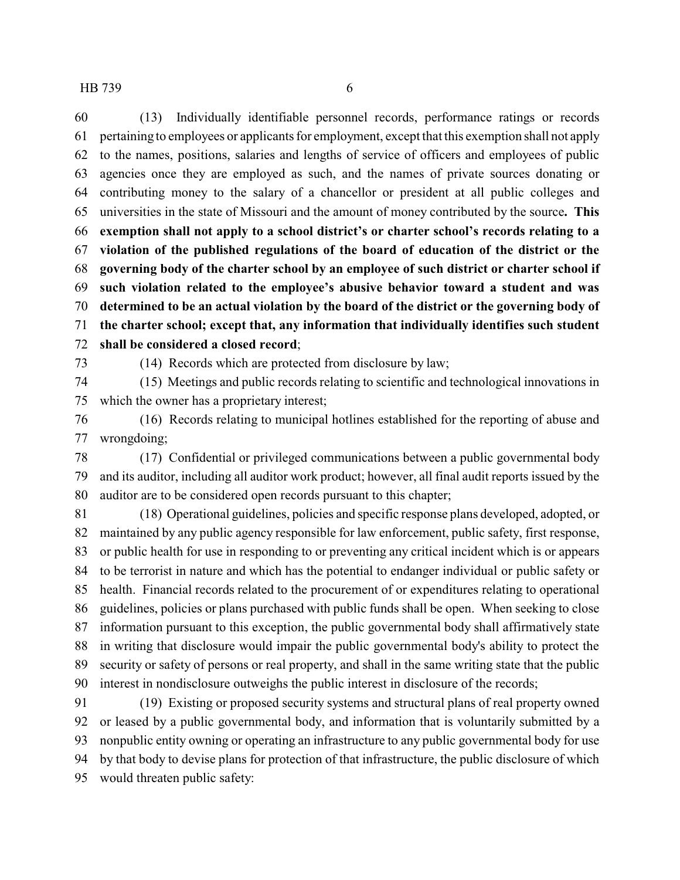(13) Individually identifiable personnel records, performance ratings or records pertaining to employees or applicants for employment, except that this exemption shall not apply to the names, positions, salaries and lengths of service of officers and employees of public agencies once they are employed as such, and the names of private sources donating or contributing money to the salary of a chancellor or president at all public colleges and universities in the state of Missouri and the amount of money contributed by the source**. This exemption shall not apply to a school district's or charter school's records relating to a violation of the published regulations of the board of education of the district or the governing body of the charter school by an employee of such district or charter school if such violation related to the employee's abusive behavior toward a student and was determined to be an actual violation by the board of the district or the governing body of the charter school; except that, any information that individually identifies such student shall be considered a closed record**;

(14) Records which are protected from disclosure by law;

 (15) Meetings and public records relating to scientific and technological innovations in which the owner has a proprietary interest;

 (16) Records relating to municipal hotlines established for the reporting of abuse and wrongdoing;

 (17) Confidential or privileged communications between a public governmental body and its auditor, including all auditor work product; however, all final audit reports issued by the auditor are to be considered open records pursuant to this chapter;

 (18) Operational guidelines, policies and specific response plans developed, adopted, or maintained by any public agency responsible for law enforcement, public safety, first response, or public health for use in responding to or preventing any critical incident which is or appears to be terrorist in nature and which has the potential to endanger individual or public safety or health. Financial records related to the procurement of or expenditures relating to operational guidelines, policies or plans purchased with public funds shall be open. When seeking to close information pursuant to this exception, the public governmental body shall affirmatively state in writing that disclosure would impair the public governmental body's ability to protect the security or safety of persons or real property, and shall in the same writing state that the public interest in nondisclosure outweighs the public interest in disclosure of the records;

 (19) Existing or proposed security systems and structural plans of real property owned or leased by a public governmental body, and information that is voluntarily submitted by a nonpublic entity owning or operating an infrastructure to any public governmental body for use by that body to devise plans for protection of that infrastructure, the public disclosure of which would threaten public safety: